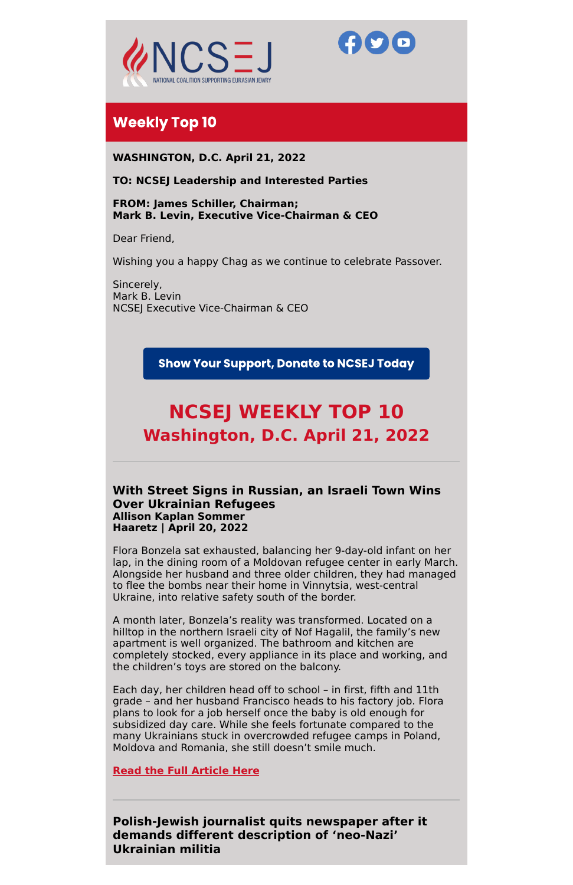



# **Weekly Top 10**

**WASHINGTON, D.C. April 21, 2022**

# **TO: NCSEJ Leadership and Interested Parties**

**FROM: James Schiller, Chairman; Mark B. Levin, Executive Vice-Chairman & CEO**

Dear Friend,

Wishing you a happy Chag as we continue to celebrate Passover.

Sincerely, Mark B. Levin NCSEJ Executive Vice-Chairman & CEO

**Show Your Support, Donate to NCSEJ Today** 

# **NCSEJ WEEKLY TOP 10 Washington, D.C. April 21, 2022**

# **With Street Signs in Russian, an Israeli Town Wins Over Ukrainian Refugees Allison Kaplan Sommer Haaretz | April 20, 2022**

Flora Bonzela sat exhausted, balancing her 9-day-old infant on her lap, in the dining room of a Moldovan refugee center in early March. Alongside her husband and three older children, they had managed to flee the bombs near their home in Vinnytsia, west-central Ukraine, into relative safety south of the border.

A month later, Bonzela's reality was transformed. Located on a hilltop in the northern Israeli city of Nof Hagalil, the family's new apartment is well organized. The bathroom and kitchen are completely stocked, every appliance in its place and working, and the children's toys are stored on the balcony.

Each day, her children head off to school – in first, fifth and 11th grade – and her husband Francisco heads to his factory job. Flora plans to look for a job herself once the baby is old enough for subsidized day care. While she feels fortunate compared to the many Ukrainians stuck in overcrowded refugee camps in Poland, Moldova and Romania, she still doesn't smile much.

**Read the Full [Article](https://www.haaretz.com/israel-news/.premium.MAGAZINE-russian-street-signs-israel-town-ukraine-refugees-1.10732510?utm_source=App_Share&utm_medium=iOS_Native) Here**

**Polish-Jewish journalist quits newspaper after it demands different description of 'neo-Nazi' Ukrainian militia**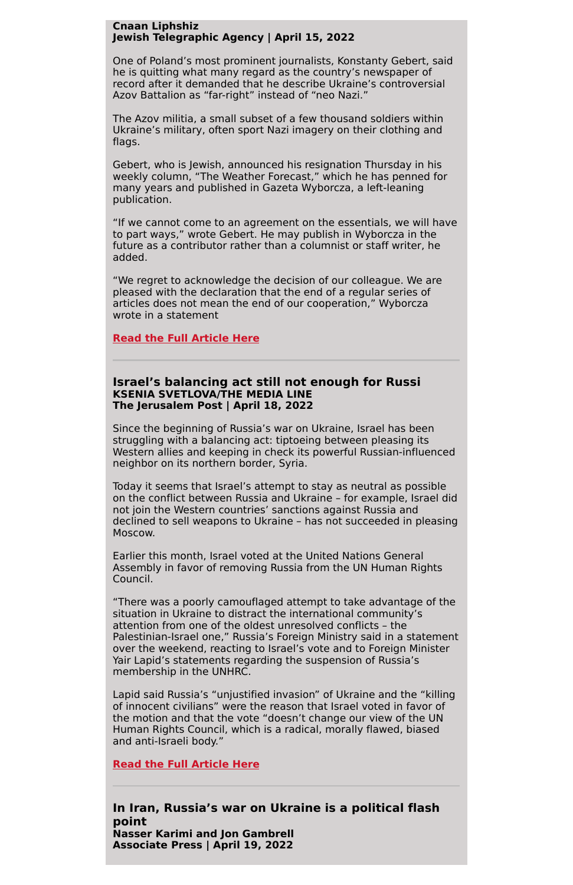# **Cnaan Liphshiz Jewish Telegraphic Agency | April 15, 2022**

One of Poland's most prominent journalists, Konstanty Gebert, said he is quitting what many regard as the country's newspaper of record after it demanded that he describe Ukraine's controversial Azov Battalion as "far-right" instead of "neo Nazi."

The Azov militia, a small subset of a few thousand soldiers within Ukraine's military, often sport Nazi imagery on their clothing and flags.

Gebert, who is Jewish, announced his resignation Thursday in his weekly column, "The Weather Forecast," which he has penned for many years and published in Gazeta Wyborcza, a left-leaning publication.

"If we cannot come to an agreement on the essentials, we will have to part ways," wrote Gebert. He may publish in Wyborcza in the future as a contributor rather than a columnist or staff writer, he added.

"We regret to acknowledge the decision of our colleague. We are pleased with the declaration that the end of a regular series of articles does not mean the end of our cooperation," Wyborcza wrote in a statement

# **Read the Full [Article](https://www.jta.org/2022/04/15/global/polish-jewish-journalist-quits-newspaper-after-it-demands-different-description-of-neo-nazi-ukrainian-militia) Here**

# **Israel's balancing act still not enough for Russi KSENIA SVETLOVA/THE MEDIA LINE The Jerusalem Post | April 18, 2022**

Since the beginning of Russia's war on Ukraine, Israel has been struggling with a balancing act: tiptoeing between pleasing its Western allies and keeping in check its powerful Russian-influenced neighbor on its northern border, Syria.

Today it seems that Israel's attempt to stay as neutral as possible on the conflict between Russia and Ukraine – for example, Israel did not join the Western countries' sanctions against Russia and declined to sell weapons to Ukraine – has not succeeded in pleasing Moscow.

Earlier this month, Israel voted at the United Nations General Assembly in favor of removing Russia from the UN Human Rights Council.

"There was a poorly camouflaged attempt to take advantage of the situation in Ukraine to distract the international community's attention from one of the oldest unresolved conflicts – the Palestinian-Israel one," Russia's Foreign Ministry said in a statement over the weekend, reacting to Israel's vote and to Foreign Minister Yair Lapid's statements regarding the suspension of Russia's membership in the UNHRC.

Lapid said Russia's "unjustified invasion" of Ukraine and the "killing of innocent civilians" were the reason that Israel voted in favor of the motion and that the vote "doesn't change our view of the UN Human Rights Council, which is a radical, morally flawed, biased and anti-Israeli body."

**Read the Full [Article](https://m.jpost.com/israel-news/article-704536/amp) Here**

**In Iran, Russia's war on Ukraine is a political flash point Nasser Karimi and Jon Gambrell Associate Press | April 19, 2022**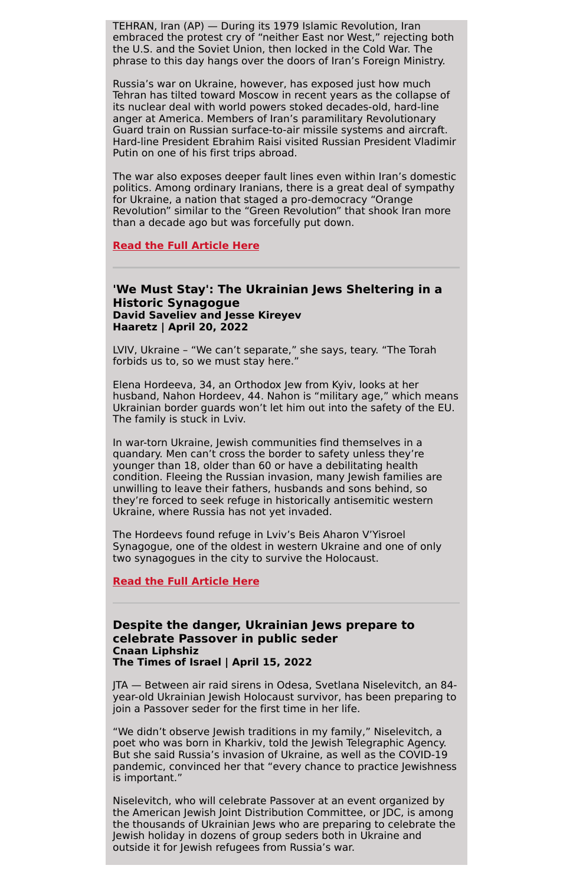TEHRAN, Iran (AP) — During its 1979 Islamic Revolution, Iran embraced the protest cry of "neither East nor West," rejecting both the U.S. and the Soviet Union, then locked in the Cold War. The phrase to this day hangs over the doors of Iran's Foreign Ministry.

Russia's war on Ukraine, however, has exposed just how much Tehran has tilted toward Moscow in recent years as the collapse of its nuclear deal with world powers stoked decades-old, hard-line anger at America. Members of Iran's paramilitary Revolutionary Guard train on Russian surface-to-air missile systems and aircraft. Hard-line President Ebrahim Raisi visited Russian President Vladimir Putin on one of his first trips abroad.

The war also exposes deeper fault lines even within Iran's domestic politics. Among ordinary Iranians, there is a great deal of sympathy for Ukraine, a nation that staged a pro-democracy "Orange Revolution" similar to the "Green Revolution" that shook Iran more than a decade ago but was forcefully put down.

#### **Read the Full [Article](https://apnews.com/article/russia-ukraine-putin-iran-moscow-tehran-5438506fba2505fbcd227f93c533e86d) Here**

# **'We Must Stay': The Ukrainian Jews Sheltering in a Historic Synagogue David Saveliev and Jesse Kireyev Haaretz | April 20, 2022**

LVIV, Ukraine – "We can't separate," she says, teary. "The Torah forbids us to, so we must stay here."

Elena Hordeeva, 34, an Orthodox Jew from Kyiv, looks at her husband, Nahon Hordeev, 44. Nahon is "military age," which means Ukrainian border guards won't let him out into the safety of the EU. The family is stuck in Lviv.

In war-torn Ukraine, Jewish communities find themselves in a quandary. Men can't cross the border to safety unless they're younger than 18, older than 60 or have a debilitating health condition. Fleeing the Russian invasion, many Jewish families are unwilling to leave their fathers, husbands and sons behind, so they're forced to seek refuge in historically antisemitic western Ukraine, where Russia has not yet invaded.

The Hordeevs found refuge in Lviv's Beis Aharon V'Yisroel Synagogue, one of the oldest in western Ukraine and one of only two synagogues in the city to survive the Holocaust.

#### **Read the Full [Article](https://www.haaretz.com/world-news/europe/.premium.MAGAZINE-we-must-stay-the-ukrainian-jews-sheltering-in-a-historic-synagogue-1.10730306) Here**

**Despite the danger, Ukrainian Jews prepare to celebrate Passover in public seder**

#### **Cnaan Liphshiz The Times of Israel | April 15, 2022**

JTA — Between air raid sirens in Odesa, Svetlana Niselevitch, an 84 year-old Ukrainian Jewish Holocaust survivor, has been preparing to join a Passover seder for the first time in her life.

"We didn't observe Jewish traditions in my family," Niselevitch, a poet who was born in Kharkiv, told the Jewish Telegraphic Agency. But she said Russia's invasion of Ukraine, as well as the COVID-19 pandemic, convinced her that "every chance to practice Jewishness is important."

Niselevitch, who will celebrate Passover at an event organized by the American Jewish Joint Distribution Committee, or JDC, is among the thousands of Ukrainian Jews who are preparing to celebrate the Jewish holiday in dozens of group seders both in Ukraine and outside it for Jewish refugees from Russia's war.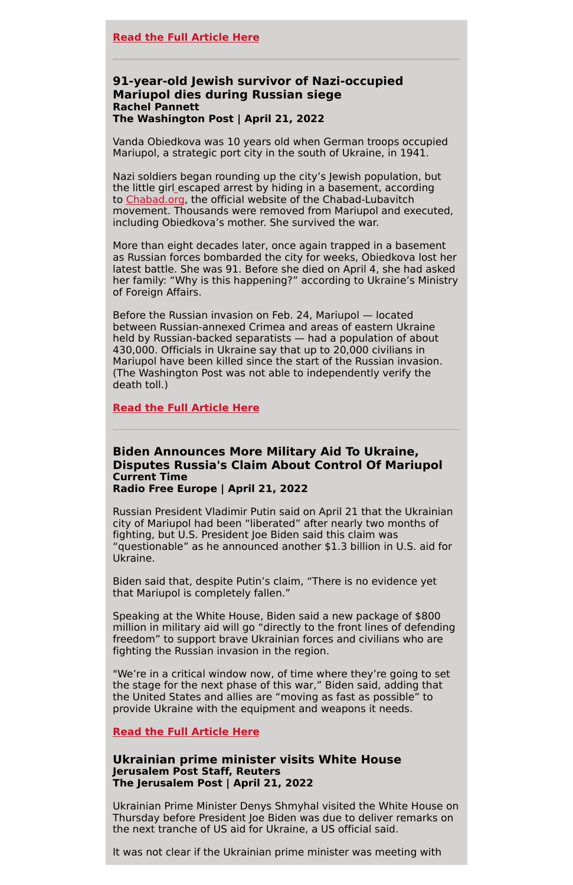# **91-year-old Jewish survivor of Nazi-occupied Mariupol dies during Russian siege Rachel Pannett The Washington Post | April 21, 2022**

Vanda Obiedkova was 10 years old when German troops occupied Mariupol, a strategic port city in the south of Ukraine, in 1941.

Nazi soldiers began rounding up the city's Jewish population, but the little gir[l](https://www.chabad.org/news/article_cdo/aid/5495941/jewish/91-year-old-Holocaust-Survivor-Perishes-in-Mariupol-Basement.htm) escaped arrest by hiding in a basement, according to [Chabad.org,](http://chabad.org/) the official website of the Chabad-Lubavitch movement. Thousands were removed from Mariupol and executed, including Obiedkova's mother. She survived the war.

More than eight decades later, once again trapped in a basement as Russian forces bombarded the city for weeks, Obiedkova lost her latest battle. She was 91. Before she died on April 4, she had asked her family: "Why is this happening?" according to Ukraine's Ministry of Foreign Affairs.

Before the Russian invasion on Feb. 24, Mariupol — located between Russian-annexed Crimea and areas of eastern Ukraine held by Russian-backed separatists — had a population of about 430,000. Officials in Ukraine say that up to 20,000 civilians in Mariupol have been killed since the start of the Russian invasion. (The Washington Post was not able to independently verify the death toll.)

## **Read the Full [Article](https://www.washingtonpost.com/world/2022/04/21/ukraine-mariupol-holocaust-survivor-dies-russia/) Here**

# **Biden Announces More Military Aid To Ukraine, Disputes Russia's Claim About Control Of Mariupol Current Time Radio Free Europe | April 21, 2022**

Russian President Vladimir Putin said on April 21 that the Ukrainian city of Mariupol had been "liberated" after nearly two months of fighting, but U.S. President Joe Biden said this claim was "questionable" as he announced another \$1.3 billion in U.S. aid for Ukraine.

Biden said that, despite Putin's claim, "There is no evidence yet that Mariupol is completely fallen."

Speaking at the White House, Biden said a new package of \$800 million in military aid will go "directly to the front lines of defending freedom" to support brave Ukrainian forces and civilians who are fighting the Russian invasion in the region.

"We're in a critical window now, of time where they're going to set the stage for the next phase of this war," Biden said, adding that the United States and allies are "moving as fast as possible" to provide Ukraine with the equipment and weapons it needs.

**Read the Full [Article](https://www.rferl.org/a/ukraine-invasion-mariupol-negotiations-russia/31813927.html) Here**

# **Ukrainian prime minister visits White House Jerusalem Post Staff, Reuters The Jerusalem Post | April 21, 2022**

Ukrainian Prime Minister Denys Shmyhal visited the White House on Thursday before President Joe Biden was due to deliver remarks on the next tranche of US aid for Ukraine, a US official said.

It was not clear if the Ukrainian prime minister was meeting with